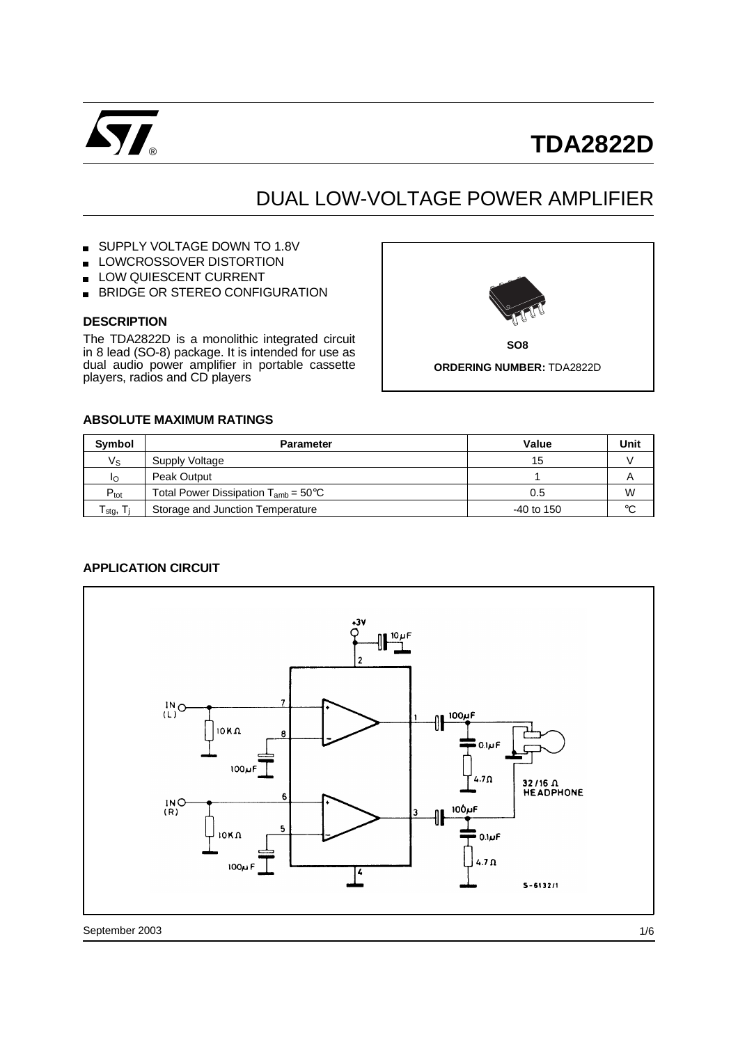

# **TDA2822D**

## DUAL LOW-VOLTAGE POWER AMPLIFIER

#### SUPPLY VOLTAGE DOWN TO 1.8V  $\blacksquare$

- LOWCROSSOVER DISTORTION
- LOW QUIESCENT CURRENT
- BRIDGE OR STEREO CONFIGURATION  $\blacksquare$

#### **DESCRIPTION**

The TDA2822D is a monolithic integrated circuit in 8 lead (SO-8) package. It is intended for use as dual audio power amplifier in portable cassette players, radios and CD players



**SO8**

**ORDERING NUMBER:** TDA2822D

#### **ABSOLUTE MAXIMUM RATINGS**

| <b>Symbol</b>                     | <b>Parameter</b>                                 | Value      | Unit |
|-----------------------------------|--------------------------------------------------|------------|------|
| Vs                                | Supply Voltage                                   | 15         |      |
| Ιo                                | Peak Output                                      |            | A    |
| $P_{\text{tot}}$                  | Total Power Dissipation $T_{amb} = 50^{\circ}$ C | 0.5        | W    |
| $T_{\text{stg}}$ , $T_{\text{j}}$ | Storage and Junction Temperature                 | -40 to 150 | °C   |

#### **APPLICATION CIRCUIT**

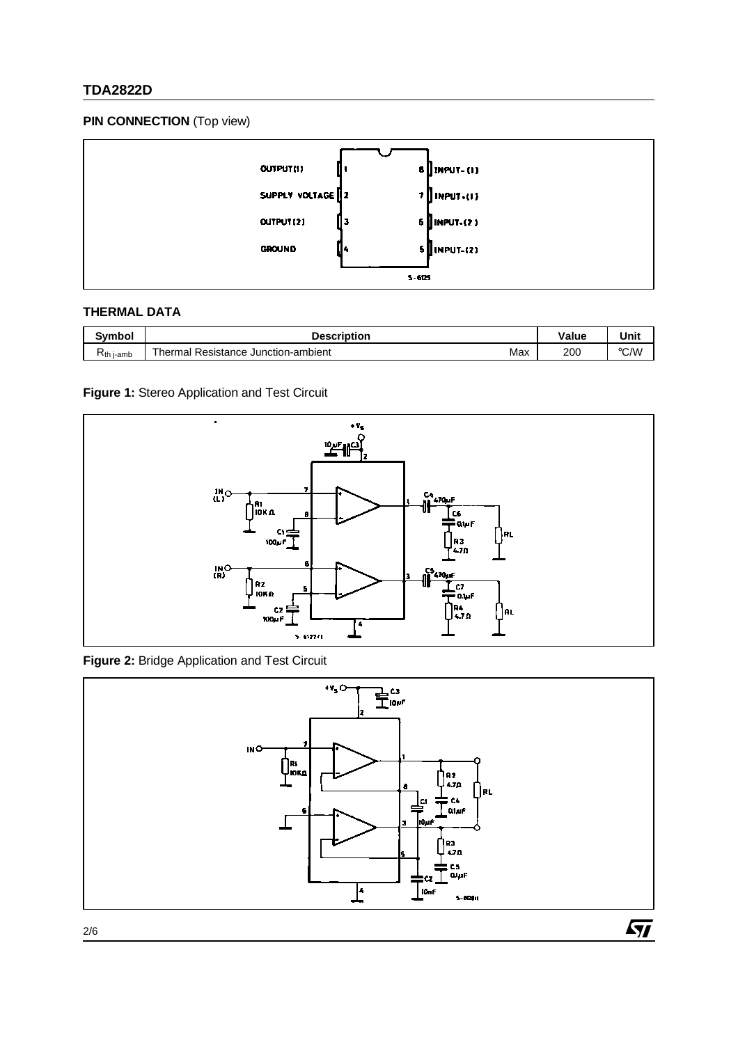### **TDA2822D**

#### **PIN CONNECTION** (Top view)



#### **THERMAL DATA**

| Svmbol         | <b>Description</b>                               | Value | Unit          |
|----------------|--------------------------------------------------|-------|---------------|
| $R_{th}$ i-amb | Max<br>ul Resistance Junction-ambient<br>Thermal | 200   | $\degree$ C/W |

#### **Figure 1:** Stereo Application and Test Circuit



**Figure 2:** Bridge Application and Test Circuit

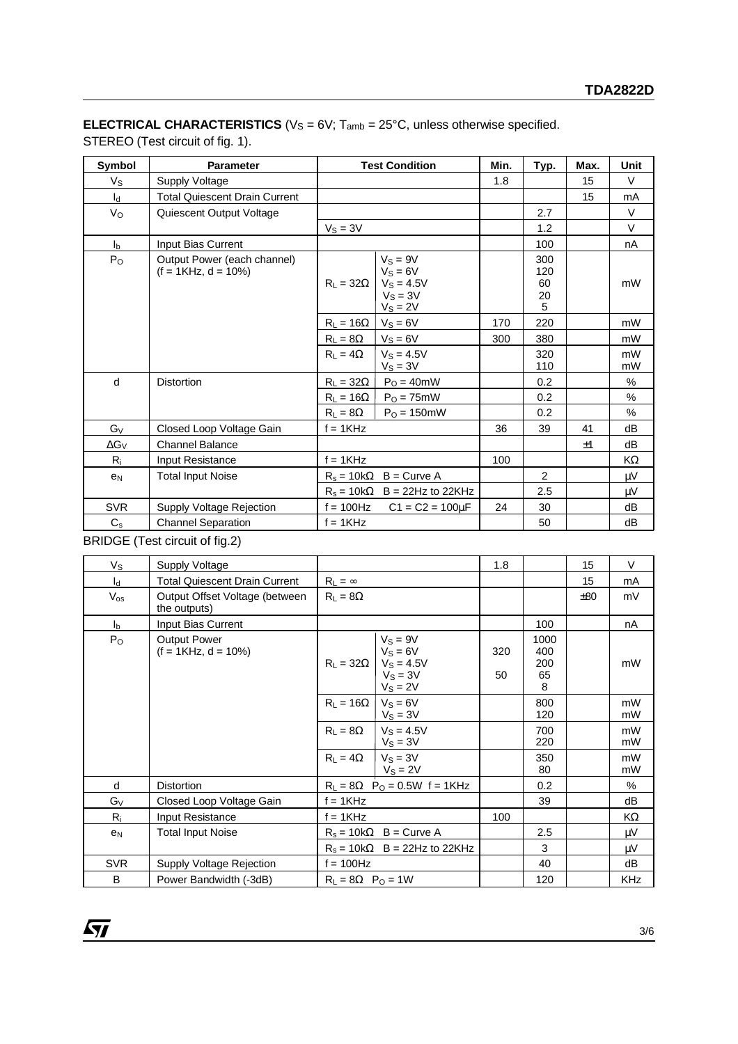### **ELECTRICAL CHARACTERISTICS** ( $V_S = 6V$ ;  $T_{amb} = 25^{\circ}$ C, unless otherwise specified.

STEREO (Test circuit of fig. 1).

| Symbol         | <b>Parameter</b>                                      | <b>Test Condition</b> |                                                                    | Min. | Typ.                        | Max. | Unit     |
|----------------|-------------------------------------------------------|-----------------------|--------------------------------------------------------------------|------|-----------------------------|------|----------|
| $V_{S}$        | <b>Supply Voltage</b>                                 |                       |                                                                    | 1.8  |                             | 15   | $\vee$   |
| $I_d$          | <b>Total Quiescent Drain Current</b>                  |                       |                                                                    |      |                             | 15   | mA       |
| $V_{\rm O}$    | Quiescent Output Voltage                              |                       |                                                                    |      | 2.7                         |      | $\vee$   |
|                |                                                       | $V_S = 3V$            |                                                                    |      | 1.2                         |      | $\vee$   |
| I <sub>b</sub> | Input Bias Current                                    |                       |                                                                    |      | 100                         |      | nA       |
| P <sub>O</sub> | Output Power (each channel)<br>$(f = 1KHz, d = 10\%)$ | $R_1 = 32\Omega$      | $V_S = 9V$<br>$VS = 6V$<br>$V_S = 4.5V$<br>$Vs = 3V$<br>$V_S = 2V$ |      | 300<br>120<br>60<br>20<br>5 |      | mW       |
|                |                                                       | $R_L = 16\Omega$      | $V_S = 6V$                                                         | 170  | 220                         |      | mW       |
|                |                                                       | $R_L = 8\Omega$       | $V_s = 6V$                                                         | 300  | 380                         |      | mW       |
|                |                                                       | $R_1 = 4\Omega$       | $Vs = 4.5V$<br>$V_S = 3V$                                          |      | 320<br>110                  |      | mW<br>mW |
| d              | <b>Distortion</b>                                     | $R_L = 32\Omega$      | $PO = 40mW$                                                        |      | 0.2                         |      | %        |
|                |                                                       | $R_L = 16\Omega$      | $PO = 75mW$                                                        |      | 0.2                         |      | %        |
|                |                                                       | $R_L = 8\Omega$       | $PO = 150mW$                                                       |      | 0.2                         |      | %        |
| $G_V$          | Closed Loop Voltage Gain                              | $f = 1KHz$            |                                                                    | 36   | 39                          | 41   | dB       |
| $\Delta G_V$   | <b>Channel Balance</b>                                |                       |                                                                    |      |                             | ±1   | dB       |
| $R_i$          | Input Resistance                                      | $f = 1KHz$            |                                                                    | 100  |                             |      | KΩ       |
| e <sub>N</sub> | <b>Total Input Noise</b>                              |                       | $R_s = 10k\Omega$ B = Curve A                                      |      | 2                           |      | μV       |
|                |                                                       |                       | $R_s = 10k\Omega$ B = 22Hz to 22KHz                                |      | 2.5                         |      | μV       |
| <b>SVR</b>     | Supply Voltage Rejection                              | $f = 100$ Hz          | $C1 = C2 = 100 \mu F$                                              | 24   | 30                          |      | dB       |
| $C_{\rm s}$    | <b>Channel Separation</b>                             | $f = 1KHz$            |                                                                    |      | 50                          |      | dB       |

BRIDGE (Test circuit of fig.2)

| Vs             | <b>Supply Voltage</b>                          |                                                |                                                                                                  | 1.8       |                               | 15         | $\vee$   |
|----------------|------------------------------------------------|------------------------------------------------|--------------------------------------------------------------------------------------------------|-----------|-------------------------------|------------|----------|
| $I_d$          | <b>Total Quiescent Drain Current</b>           | $R_L = \infty$                                 |                                                                                                  |           |                               | 15         | mA       |
| $V_{OS}$       | Output Offset Voltage (between<br>the outputs) | $R_L = 8\Omega$                                |                                                                                                  |           |                               | ±80        | mV       |
| $I_{b}$        | Input Bias Current                             |                                                |                                                                                                  |           | 100                           |            | nA       |
| $P_{O}$        | <b>Output Power</b><br>$(f = 1KHz, d = 10\%)$  |                                                | $V_S = 9V$<br>$V_S = 6V$<br>$R_L = 32\Omega$   V <sub>S</sub> = 4.5V<br>$V_S = 3V$<br>$V_S = 2V$ | 320<br>50 | 1000<br>400<br>200<br>65<br>8 |            | mW       |
|                |                                                | $R_1 = 16\Omega$                               | $V_S = 6V$<br>$V_S = 3V$                                                                         |           | 800<br>120                    |            | mW<br>mW |
|                |                                                | $R_L = 8\Omega$                                | $V_S = 4.5V$<br>$V_S = 3V$                                                                       |           | 700<br>220                    |            | mW<br>mW |
|                |                                                | $R_1 = 4\Omega$                                | $V_S = 3V$<br>$V_S = 2V$                                                                         |           | 350<br>80                     |            | mW<br>mW |
| d              | <b>Distortion</b>                              | $R_L = 8\Omega$ P <sub>O</sub> = 0.5W f = 1KHz |                                                                                                  |           | 0.2                           |            | %        |
| $G_V$          | Closed Loop Voltage Gain                       | $f = 1KHz$                                     |                                                                                                  |           | 39                            |            | dB       |
| $R_i$          | Input Resistance                               | $f = 1$ KHz                                    |                                                                                                  | 100       |                               |            | KΩ       |
| e <sub>N</sub> | <b>Total Input Noise</b>                       | $R_s = 10k\Omega$ B = Curve A                  |                                                                                                  |           | 2.5                           |            | μV       |
|                |                                                |                                                | $R_s = 10k\Omega$ B = 22Hz to 22KHz                                                              |           | 3                             |            | μV       |
| <b>SVR</b>     | Supply Voltage Rejection                       | $f = 100$ Hz                                   |                                                                                                  | 40        |                               | dB         |          |
| B              | Power Bandwidth (-3dB)                         | $R_L = 8\Omega$ $P_O = 1W$                     |                                                                                                  | 120       |                               | <b>KHz</b> |          |

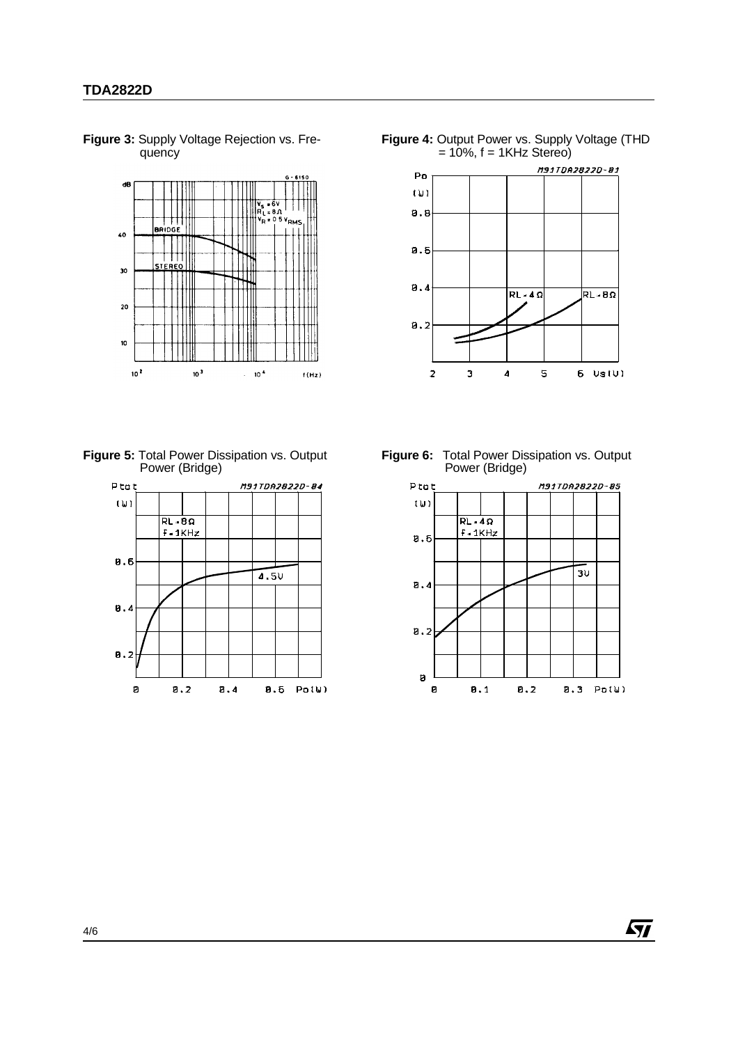

**Figure 3:** Supply Voltage Rejection vs. Frequency







**Figure 6:** Total Power Dissipation vs. Output Power (Bridge)



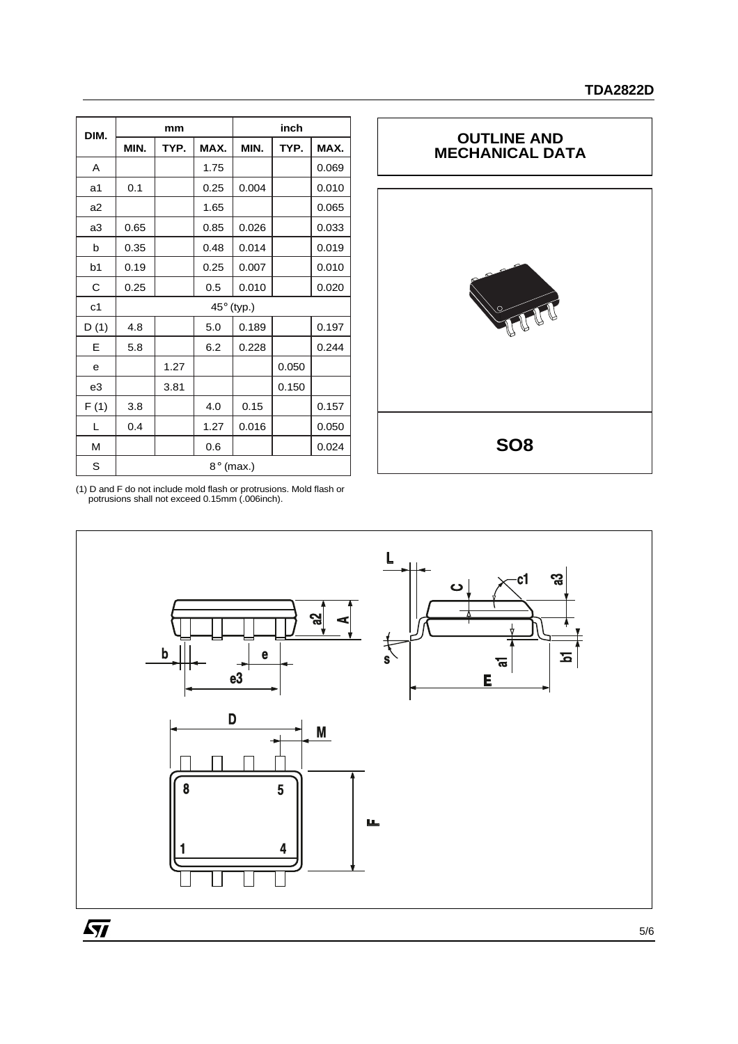| DIM.           |                  | mm   |      | inch       |       |       |  |
|----------------|------------------|------|------|------------|-------|-------|--|
|                | MIN.             | TYP. | MAX. | MIN.       | TYP.  | MAX.  |  |
| A              |                  |      | 1.75 |            |       | 0.069 |  |
| a1             | 0.1              |      | 0.25 | 0.004      |       | 0.010 |  |
| a2             |                  |      | 1.65 |            |       | 0.065 |  |
| a3             | 0.65             |      | 0.85 | 0.026      |       | 0.033 |  |
| b              | 0.35             |      | 0.48 | 0.014      |       | 0.019 |  |
| b <sub>1</sub> | 0.19             |      | 0.25 | 0.007      |       | 0.010 |  |
| C              | 0.25             |      | 0.5  | 0.010      |       | 0.020 |  |
| c <sub>1</sub> |                  |      |      | 45° (typ.) |       |       |  |
| D(1)           | 4.8              |      | 5.0  | 0.189      |       | 0.197 |  |
| Е              | 5.8              |      | 6.2  | 0.228      |       | 0.244 |  |
| е              |                  | 1.27 |      |            | 0.050 |       |  |
| e3             |                  | 3.81 |      |            | 0.150 |       |  |
| F(1)           | 3.8              |      | 4.0  | 0.15       |       | 0.157 |  |
| L              | 0.4              |      | 1.27 | 0.016      |       | 0.050 |  |
| M              |                  |      | 0.6  |            |       | 0.024 |  |
| S              | $8^\circ$ (max.) |      |      |            |       |       |  |



(1) D and F do not include mold flash or protrusions. Mold flash or potrusions shall not exceed 0.15mm (.006inch).